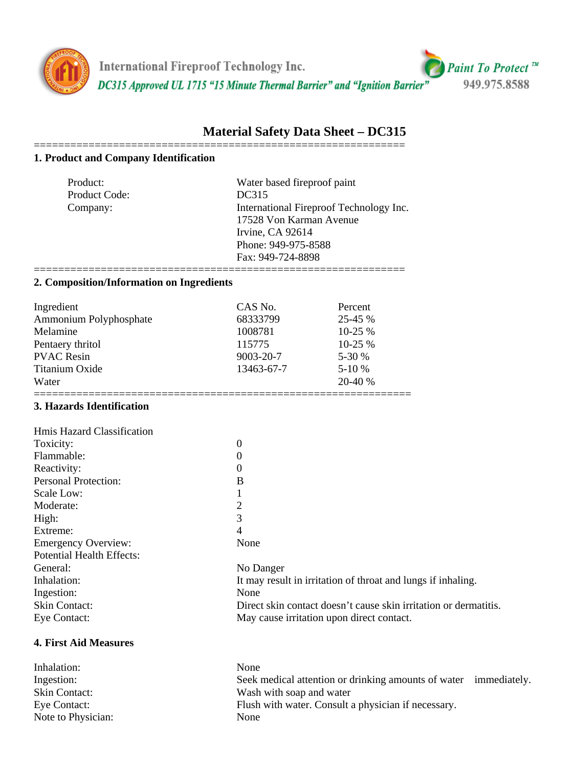

**International Fireproof Technology Inc.** DC315 Approved UL 1715 "15 Minute Thermal Barrier" and "Ignition Barrier"



# **Material Safety Data Sheet – DC315**

#### ============================================================= **1. Product and Company Identification**

| Product:      | Water based fireproof paint             |
|---------------|-----------------------------------------|
| Product Code: | DC315                                   |
| Company:      | International Fireproof Technology Inc. |
|               | 17528 Von Karman Avenue                 |
|               | Irvine, CA 92614                        |
|               | Phone: 949-975-8588                     |
|               | Fax: 949-724-8898                       |
|               |                                         |

### **2. Composition/Information on Ingredients**

| Ingredient             | CAS No.    | Percent      |
|------------------------|------------|--------------|
| Ammonium Polyphosphate | 68333799   | $25 - 45 \%$ |
| Melamine               | 1008781    | $10-25\%$    |
| Pentaery thritol       | 115775     | $10-25\%$    |
| <b>PVAC Resin</b>      | 9003-20-7  | 5-30 %       |
| Titanium Oxide         | 13463-67-7 | $5-10%$      |
| Water                  |            | 20-40 %      |
|                        |            |              |

## **3. Hazards Identification**

| Hmis Hazard Classification       |                                                                     |  |
|----------------------------------|---------------------------------------------------------------------|--|
| Toxicity:                        | $\boldsymbol{0}$                                                    |  |
| Flammable:                       | $\boldsymbol{0}$                                                    |  |
| Reactivity:                      | $\theta$                                                            |  |
| <b>Personal Protection:</b>      | B                                                                   |  |
| Scale Low:                       | $\mathbf{1}$                                                        |  |
| Moderate:                        | $\overline{2}$                                                      |  |
| High:                            | 3                                                                   |  |
| Extreme:                         | 4                                                                   |  |
| <b>Emergency Overview:</b>       | None                                                                |  |
| <b>Potential Health Effects:</b> |                                                                     |  |
| General:                         | No Danger                                                           |  |
| Inhalation:                      | It may result in irritation of throat and lungs if inhaling.        |  |
| Ingestion:                       | None                                                                |  |
| <b>Skin Contact:</b>             | Direct skin contact doesn't cause skin irritation or dermatitis.    |  |
| Eye Contact:                     | May cause irritation upon direct contact.                           |  |
| <b>4. First Aid Measures</b>     |                                                                     |  |
| Inhalation:                      | None                                                                |  |
| Ingestion:                       | Seek medical attention or drinking amounts of water<br>immediately. |  |
| <b>Skin Contact:</b>             | Wash with soap and water                                            |  |

Eye Contact: Flush with water. Consult a physician if necessary. Note to Physician: None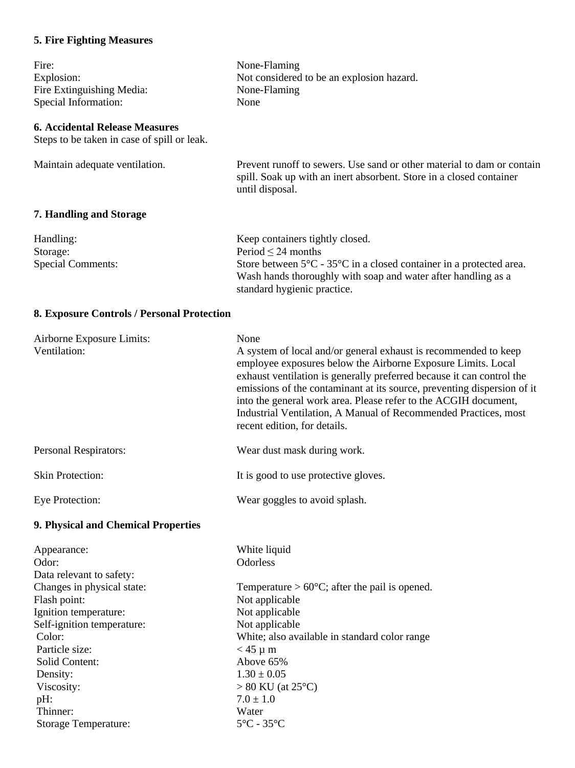## **5. Fire Fighting Measures**

Solid Content:<br>Density:

Storage Temperature:

Viscosity:  $> 80 \text{ K}$ <br>
pH:  $7.0 \pm 1$ <br>
Thinner: Water

Thinner: Water<br>Storage Temperature: 5°C - 35°C

| Fire:<br>Explosion:<br>Fire Extinguishing Media:<br>Special Information:                                                                        | None-Flaming<br>Not considered to be an explosion hazard.<br>None-Flaming<br>None                                                                                                                                                                                                                                                                                                                                                                                 |
|-------------------------------------------------------------------------------------------------------------------------------------------------|-------------------------------------------------------------------------------------------------------------------------------------------------------------------------------------------------------------------------------------------------------------------------------------------------------------------------------------------------------------------------------------------------------------------------------------------------------------------|
| <b>6. Accidental Release Measures</b><br>Steps to be taken in case of spill or leak.                                                            |                                                                                                                                                                                                                                                                                                                                                                                                                                                                   |
| Maintain adequate ventilation.                                                                                                                  | Prevent runoff to sewers. Use sand or other material to dam or contain<br>spill. Soak up with an inert absorbent. Store in a closed container<br>until disposal.                                                                                                                                                                                                                                                                                                  |
| <b>7. Handling and Storage</b>                                                                                                                  |                                                                                                                                                                                                                                                                                                                                                                                                                                                                   |
| Handling:<br>Storage:<br><b>Special Comments:</b>                                                                                               | Keep containers tightly closed.<br>Period $\leq$ 24 months<br>Store between $5^{\circ}$ C - $35^{\circ}$ C in a closed container in a protected area.<br>Wash hands thoroughly with soap and water after handling as a<br>standard hygienic practice.                                                                                                                                                                                                             |
| 8. Exposure Controls / Personal Protection                                                                                                      |                                                                                                                                                                                                                                                                                                                                                                                                                                                                   |
| Airborne Exposure Limits:<br>Ventilation:                                                                                                       | None<br>A system of local and/or general exhaust is recommended to keep<br>employee exposures below the Airborne Exposure Limits. Local<br>exhaust ventilation is generally preferred because it can control the<br>emissions of the contaminant at its source, preventing dispersion of it<br>into the general work area. Please refer to the ACGIH document,<br>Industrial Ventilation, A Manual of Recommended Practices, most<br>recent edition, for details. |
| Personal Respirators:                                                                                                                           | Wear dust mask during work.                                                                                                                                                                                                                                                                                                                                                                                                                                       |
| <b>Skin Protection:</b>                                                                                                                         | It is good to use protective gloves.                                                                                                                                                                                                                                                                                                                                                                                                                              |
| Eye Protection:                                                                                                                                 | Wear goggles to avoid splash.                                                                                                                                                                                                                                                                                                                                                                                                                                     |
| 9. Physical and Chemical Properties                                                                                                             |                                                                                                                                                                                                                                                                                                                                                                                                                                                                   |
| Appearance:<br>Odor:<br>Data relevant to safety:                                                                                                | White liquid<br>Odorless                                                                                                                                                                                                                                                                                                                                                                                                                                          |
| Changes in physical state:<br>Flash point:<br>Ignition temperature:<br>Self-ignition temperature:<br>Color:<br>Particle size:<br>Solid Content: | Temperature > $60^{\circ}$ C; after the pail is opened.<br>Not applicable<br>Not applicable<br>Not applicable<br>White; also available in standard color range<br>$<$ 45 $\mu$ m<br>Above 65%                                                                                                                                                                                                                                                                     |

 $1.30 \pm 0.05$ 

 $> 80$  KU (at 25°C)<br>7.0  $\pm$  1.0